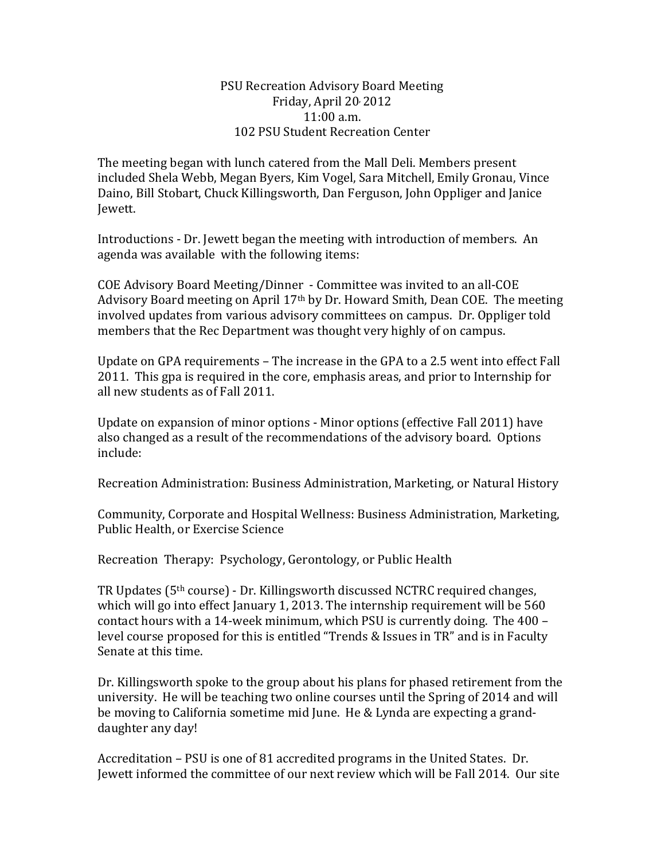## PSU Recreation Advisory Board Meeting Friday, April 20, 2012 11:00 a.m. 102 PSU Student Recreation Center

The meeting began with lunch catered from the Mall Deli. Members present included Shela Webb, Megan Byers, Kim Vogel, Sara Mitchell, Emily Gronau, Vince Daino, Bill Stobart, Chuck Killingsworth, Dan Ferguson, John Oppliger and Janice Jewett.

Introductions - Dr. Jewett began the meeting with introduction of members. An agenda was available with the following items:

COE Advisory Board Meeting/Dinner - Committee was invited to an all-COE Advisory Board meeting on April 17th by Dr. Howard Smith, Dean COE. The meeting involved updates from various advisory committees on campus. Dr. Oppliger told members that the Rec Department was thought very highly of on campus.

Update on GPA requirements – The increase in the GPA to a 2.5 went into effect Fall 2011. This gpa is required in the core, emphasis areas, and prior to Internship for all new students as of Fall 2011.

Update on expansion of minor options - Minor options (effective Fall 2011) have also changed as a result of the recommendations of the advisory board. Options include:

Recreation Administration: Business Administration, Marketing, or Natural History

Community, Corporate and Hospital Wellness: Business Administration, Marketing, Public Health, or Exercise Science

Recreation Therapy: Psychology, Gerontology, or Public Health

TR Updates (5th course) - Dr. Killingsworth discussed NCTRC required changes, which will go into effect January 1, 2013. The internship requirement will be 560 contact hours with a 14-week minimum, which PSU is currently doing. The 400 – level course proposed for this is entitled "Trends & Issues in TR" and is in Faculty Senate at this time.

Dr. Killingsworth spoke to the group about his plans for phased retirement from the university. He will be teaching two online courses until the Spring of 2014 and will be moving to California sometime mid June. He & Lynda are expecting a granddaughter any day!

Accreditation – PSU is one of 81 accredited programs in the United States. Dr. Jewett informed the committee of our next review which will be Fall 2014. Our site